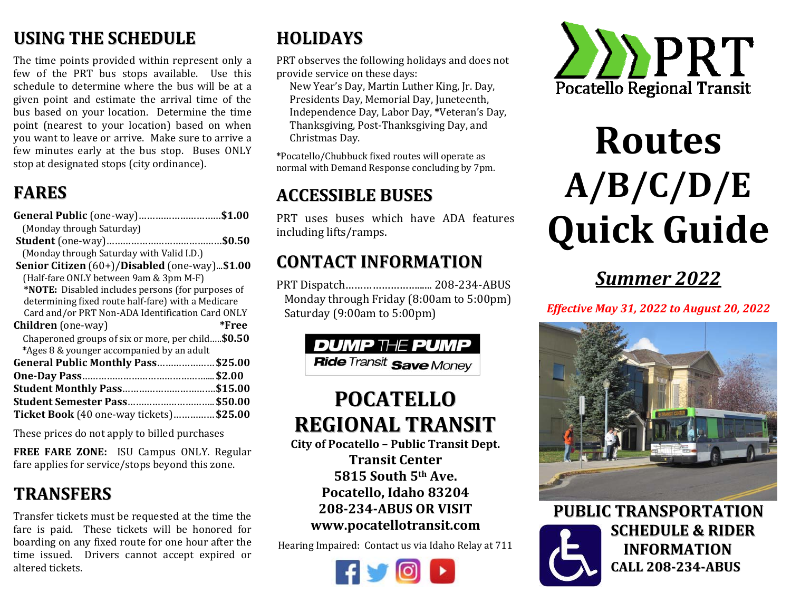#### **USINGTHESCHEDULE**

The time points provided within represent only a few of the PRT bus stops available. Use this schedule to determine where the bus will be at a given point and estimate the arrival time of the bus based on your location. Determine the time point (nearest to your location) based on when you want to leave or arrive. Make sure to arrive a few minutes early at the bus stop. Buses ONLY stop at designated stops (city ordinance).

#### **FARES**

| <b>General Public</b> (one-way)\$1.00                        |         |
|--------------------------------------------------------------|---------|
| (Monday through Saturday)                                    |         |
|                                                              |         |
| (Monday through Saturday with Valid I.D.)                    |         |
| <b>Senior Citizen</b> (60+)/ <b>Disabled</b> (one-way)\$1.00 |         |
| (Half-fare ONLY between 9am & 3pm M-F)                       |         |
| *NOTE: Disabled includes persons (for purposes of            |         |
| determining fixed route half-fare) with a Medicare           |         |
| Card and/or PRT Non-ADA Identification Card ONLY             |         |
|                                                              |         |
| <b>Children</b> (one-way)                                    | *Free   |
| Chaperoned groups of six or more, per child\$0.50            |         |
| *Ages 8 & younger accompanied by an adult                    |         |
| General Public Monthly Pass\$25.00                           |         |
|                                                              |         |
| <b>Student Monthly Pass</b>                                  | \$15.00 |
| <b>Student Semester Pass \$50.00</b>                         |         |
| Ticket Book (40 one-way tickets)\$25.00                      |         |

These prices do not apply to billed purchases

**FREE FARE ZONE:** ISU Campus ONLY. Regular fare applies for service/stops beyond this zone.

### **TRANSFERS**

Transfer tickets must be requested at the time the fare is paid. These tickets will be honored for boarding on any fixed route for one hour after the time issued. Drivers cannot accept expired or altered tickets.

## **HOLIDAYS**

PRT observes the following holidays and does not provide service on these days:

New Year's Day, Martin Luther King, Jr. Day, Presidents Day, Memorial Day, Juneteenth, Independence Day, Labor Day, **\***Veteran's Day, Thanksgiving, Post-Thanksgiving Day, and Christmas Day.

**\***Pocatello/Chubbuck fixed routes will operate as normal with Demand Response concluding by 7pm.

#### **ACCESSIBLEBUSES**

PRT uses buses which have ADA features including lifts/ramps.

#### **CONTACTINFORMATION**

PRT Dispatch……………………...... 208-234-ABUS Monday through Friday (8:00am to 5:00pm) Saturday (9:00am to 5:00pm)



# **POCATELLOREGIONAL TRANSIT**

**City of Pocatello – Public Transit Dept. Transit Center5815 South5th Ave.Pocatello, Idaho 83204 208‐234‐ABUS OR VISIT www.pocatellotransit.com**

Hearing Impaired: Contact us via Idaho Relay at 711





# **RoutesA/B/C/D/E Quick Guide**

# *Summer 2022*

*Effective May 31, 2022 to August 20, 2022*